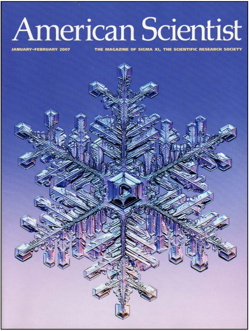# American Scientist

**JANUARY-FEBRUARY 2007** 

MAGAZINE OF SIGMA XI, THE SCIENTIFIC RESEARCH SOCIETY

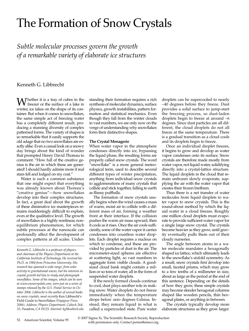## The Formation of Snow Crystals

*Subtle molecular processes govern the growth of a remarkable variety of elaborate ice structures*

Kenneth G. Libbrecht

Whether it is a tray of cubes in the freezer or the surface of a lake in winter, ice takes on the shape of its container. But when it comes to snowflakes, the same simple act of freezing water has a completely different result, producing a stunning diversity of complex patterned forms. The variety of shapes is so remarkable that it easily supports the old adage that no two snowflakes are exactly alike. Even a casual look on a snowy day brings about the kind of wonder that prompted Henry David Thoreau to comment: "How full of the creative genius is the air in which these are generated! I should hardly admire more if real stars fell and lodged on my coat."

Water is such a common substance that one might expect that everything was already known about Thoreau's "creative genius"—how snowflakes develop into their complex structures. In fact, a great deal about the growth of these diminutive ice masterpieces remains maddeningly difficult to explain, even at the qualitative level. The growth of snowflakes is a highly nonlinear, nonequilibrium phenomenon, for which subtle processes at the nanoscale can profoundly affect the development of complex patterns at all scales. Under-

*Kenneth G. Libbrecht is a professor of physics and chairman of the Physics Department at the California Institute of Technology. He received his Ph.D. in 1984 from Princeton University. His research has spanned a wide range, from solar activity to gravitational waves, but his interests in crystal growth led him to study and photograph snowflakes. Some of his images, which can be seen at www.snowcrystals.com, were put on a series of stamps released by the U.S. Postal Service in October 2006. Libbrecht is the author of several books on snow crystals, most recently* Ken Libbrecht's Field Guide to Snowflakes *(Voyageur Press, 2006). Address: Physics Department, Caltech 264- 33, Pasadena, CA 91125. Internet: kgl@caltech.edu* standing their formation requires a rich synthesis of molecular dynamics, surface physics, growth instabilities, pattern formation and statistical mechanics. Even though they fall from the winter clouds in vast numbers, we are only now on the verge of understanding why snowflakes form their distinctive shapes.

### **The Crystal Menagerie**

When water vapor in the atmosphere condenses directly into ice, bypassing the liquid phase, the resulting forms are properly called snow crystals. The word "snowflake" is a more general meteorological term, used to describe several different types of winter precipitation, anything from individual snow crystals to agglomerations of many crystals that collide and stick together, falling to earth as flimsy puffballs.

The formation of snow crystals usually begins when the wind causes a mass of warm, moist air to collide with a different mass of air, forming a weather front at their interface. If the collision pushes the warm air mass upward, then it cools as it rises. Once the air cools sufficiently, some of the water vapor it carries condenses into countless water droplets. Each droplet requires a nucleus on which to condense, and these are provided by particles of dust in the air. The micrometer-sized spheres are effective at scattering light, so vast numbers in aggregate form visible clouds. A goodsized cloud bank might contain a million or so tons of water, all in the form of suspended water droplets.

If the newly formed clouds continue to cool, dust plays another role in making snow. Water droplets do not freeze immediately when the temperature drops below zero degrees Celsius. Instead, they remain liquid in what is called a supercooled state. Pure water

droplets can be supercooled to nearly –40 degrees before they freeze. Dust provides a solid surface to jump-start the freezing process, so dust-laden droplets begin to freeze at around –6 degrees. Since dust particles are all different, the cloud droplets do not all freeze at the same temperature. There is a gradual transition as a cloud cools and its droplets begin to freeze.

Once an individual droplet freezes, it begins to grow and develop as water vapor condenses onto its surface. Snow crystals are therefore made mostly from water vapor, not liquid water, solidifying directly into a crystal-lattice structure. The liquid droplets in the cloud that remain unfrozen slowly evaporate, supplying the air with the water vapor that creates their frozen brethren.

Thus there is a net transfer of water molecules from liquid droplets to water vapor to snow crystals. This is the round-about method by which the liquid water in a cloud freezes. Roughly one million cloud droplets must evaporate to provide sufficient water vapor for a single large snow crystal. The crystals become heavier as they grow, until gravity eventually pulls them out of their cloudy nurseries.

The angle between atoms in a water molecule mandates a hexagonally shaped ice lattice, which ultimately leads to the snowflake's sixfold symmetry. As a result, snow crystals first develop into small, faceted prisms, which may grow to a few tenths of a millimeter in size, about as large as the period at the end of this sentence. Depending on the details of how they grow, these simple crystals may become slender hexagonal columns shaped like wooden pencils, thin hexagonal plates, or anything in between.

The crystals typically develop more elaborate structures as they grow larger.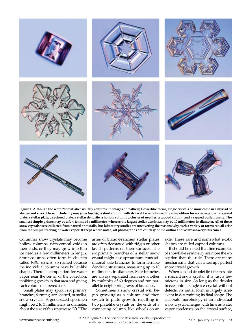

**Figure 1. Although the word "snowflake" usually conjures up images of feathery, flowerlike forms, single crystals of snow come in a myriad of shapes and sizes. These include** *(by row, from top left)* **a short column with its facet faces hollowed by competition for water vapor, a hexagonal plate, a stellar plate, a sectored plate, a stellar dendrite, a hollow column, a cluster of needles, a capped column and a capped bullet rosette. The smallest simple prisms may be a few tenths of a millimeter, whereas the largest stellar dendrites may be 10 millimeters in diameter. All of these snow crystals were collected from natural snowfalls, but laboratory studies are uncovering the reasons why such a variety of forms can all arise from the simple freezing of water vapor. (Except where noted, all photographs are courtesy of the author and www.snowcrystals.com.)**

Columnar snow crystals may become hollow columns, with conical voids in their ends, or they may grow into thin ice needles a few millimeters in length. Stout columns often form in clusters called *bullet rosettes,* so named because the individual columns have bullet-like shapes. There is competition for water vapor near the center of the collection, inhibiting growth in that area and giving each column a tapered look.

Small plates may sprout six primary branches, forming star-shaped, or stellar, snow crystals. A good-sized specimen might be 2 to 3 millimeters in diameter, about the size of this uppercase "O." The

arms of broad-branched stellar plates are often decorated with ridges or other lavish patterns on their surfaces. The six primary branches of a stellar snow crystal might also sprout numerous additional side branches to form fernlike dendritic structures, measuring up to 10 millimeters in diameter. Side branches are always separated from one another by multiples of 60 degrees and run parallel to neighboring rows of branches.

Sometimes a snow crystal will begin growing as a column and then switch to plate growth, resulting in two platelike crystals on the ends of a connecting column, like wheels on an axle. These rare and somewhat exotic shapes are called capped columns.

It should be noted that fine examples of snowflake symmetry are more the exception than the rule. There are many mechanisms that can interrupt perfect snow crystal growth.

When a cloud droplet first freezes into a nascent snow crystal, it is just a few microns in size. As long as the droplet freezes into a single ice crystal without defects, its initial form is largely irrelevant in determining its final shape. The elaborate morphology of an individual snow crystal emerges with time as water vapor condenses on the crystal surface,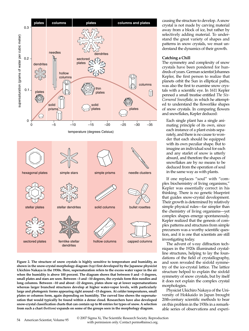

**Figure 2. The structure of snow crystals is highly sensitive to temperature and humidity, as shown in the snow-crystal morphology diagram** *(top)* **first developed by the Japanese physicist Ukichiro Nakaya in the 1930s. Here, supersaturation refers to the excess water vapor in the air when the humidity is above 100 percent. The diagram shows that between 0 and –3 degrees, small plates and stars are seen. Between –3 and –10 degrees, the crystals form thin needles and long columns. Between –10 and about –22 degrees, plates show up at lower supersaturations whereas larger branched structures develop at higher water-vapor levels, with particularly large and photogenic forms appearing right around –15 degrees. At colder temperatures, small plates or columns form, again depending on humidity. The curved line shows the supersaturation that would typically be found within a dense cloud. Researchers have also developed snow-crystal classification charts that can contain up to 80 entries for types of snow. A selection from such a chart** *(bottom)* **expands on some of the groups seen in the morphology diagram.**

causing the structure to develop. A snow crystal is not made by carving material away from a block of ice, but rather by selectively adding material. To understand the great variety of shapes and patterns in snow crystals, we must understand the dynamics of their growth.

#### **Catching a Chill**

The symmetry and complexity of snow crystals have been pondered for hundreds of years. German scientist Johannes Kepler, the first person to realize that planets orbit the Sun in elliptical paths, was also the first to examine snow crystals with a scientific eye. In 1611 Kepler penned a small treatise entitled *The Six-Cornered Snowflake,* in which he attempted to understand the flowerlike shapes of snow crystals. In comparing flowers and snowflakes, Kepler deduced:

Each single plant has a single animating principle of its own, since each instance of a plant exists separately, and there is no cause to wonder that each should be equipped with its own peculiar shape. But to imagine an individual soul for each and any starlet of snow is utterly absurd, and therefore the shapes of snowflakes are by no means to be deduced from the operation of soul in the same way as with plants.

If one replaces "soul" with "complex biochemistry of living organisms," Kepler was essentially correct in his thinking. There is no genetic blueprint that guides snow-crystal development. Their growth is determined by relatively simple physical rules—far simpler than the chemistry of living organisms—yet complex shapes emerge spontaneously. Kepler realized that the genesis of complex patterns and structures from simple precursors was a worthy scientific question, and it is one that scientists are still investigating today.

The advent of x-ray diffraction techniques in the 1920s illuminated crystalline structures, helping to lay the foundations of the field of crystallography, and soon revealed the sixfold symmetry of the ice-crystal lattice. The lattice structure helped to explain the sixfold symmetry of snow crystals, but by itself it does not explain the complex crystal morphologies.

Physicist Ukichiro Nakaya of the University of Hokkaido in Japan brought 20th-century scientific methods to bear on this problem in the 1930s in a remarkable series of observations and experi-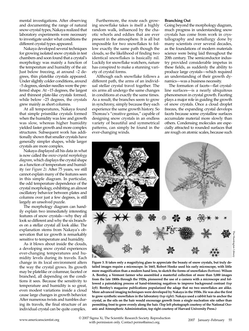mental investigations. After observing and documenting the range of natural snow-crystal types, Nakaya realized that laboratory experiments were necessary to investigate under what conditions the different crystal types appeared.

Nakaya developed several techniques for growing isolated snow crystals in test chambers and soon found that a crystal's morphology was mainly a function of the temperature and humidity of the air. Just below freezing, at around –2 degrees, thin platelike crystals appeared. Under slightly colder conditions, around –5 degrees, slender needles were the preferred shape. At –15 degrees, the largest and thinnest plate-like crystals formed, while below –25 degrees, the crystals grew mainly as short columns.

At all temperatures, Nakaya found that simple prismlike crystals formed when the humidity was low and growth was slow, whereas higher humidity yielded faster growth and more complex structures. Subsequent work has additionally shown that smaller crystals have generally simpler shapes, while larger crystals are more complex.

Nakaya displayed all his data in what is now called the *snow-crystal morphology diagram*, which displays the crystal shape as a function of temperature and humidity *(see Figure 2).* After 75 years, we still cannot explain many of the features seen in this simple diagram. In particular, the odd temperature dependence of the crystal morphology, exhibiting an almost oscillatory behavior between plates and columns over just a few degrees, is still largely an unsolved puzzle.

The morphology diagram can handily explain two immediately interesting features of snow crystals—why they all look so different and why the six branches on a stellar crystal all look alike. The explanation stems from Nakaya's observation that ice growth is remarkably sensitive to temperature and humidity.

As it blows about inside the clouds, a developing snow crystal experiences ever-changing temperatures and humidity levels during its travels. Each change in its local environment alters the way the crystal grows. Its growth may be platelike or columnar, faceted or branched, all depending on the conditions it sees. Because the sensitivity to temperature and humidity is so great, even modest variations inside a cloud cause large changes in growth behavior. After numerous twists and tumbles during its travels, the final structure of an individual crystal can be quite complex.

Furthermore, the route each growing snowflake takes is itself a highly random walk, influenced by the chaotic whorls and eddies that are ever present in the atmosphere. It is all but impossible for two snowflakes to follow exactly the same path though the clouds, so the likelihood of finding two identical snowflakes is basically nil. Luckily for snowflake watchers, nature has conspired to make a stunning variety of crystal forms.

Although each snowflake follows a different path, the arms of an individual stellar crystal travel together. The six arms all undergo the same changes in conditions at exactly the same times. As a result, the branches seem to grow in synchrony, simply because they each experience the same growth history. So Thoreau's "creative genius," capable of designing snow crystals in an endless variety of beautiful and symmetrical patterns, can simply be found in the ever-changing winds.

#### **Branching Out**

Going beyond the morphology diagram, much progress in understanding snow crystals has come from work in crystallography and metallurgy done by many scientists over several decades, as the foundations of modern materials science were being laid throughout the 20th century. The semiconductor industry provided considerable impetus in these fields, as suddenly the ability to produce large crystals—which required an understanding of their growth dynamics—was a business necessity.

The formation of facets—flat crystalline surfaces—is a nearly ubiquitous phenomenon in crystal growth. Faceting plays a major role in guiding the growth of snow crystals. Once a cloud droplet freezes, the expanding crystal develops facets because some crystalline surfaces accumulate material more slowly than others. Condensing molecules are especially attracted to rounded surfaces that are rough on atomic scales, because such



**Figure 3. It takes only a magnifying glass to appreciate the beauty of snow crystals, but truly detailed images require a microscope. In 1665, Robert Hooke used his early microscope, with little more magnification than a modern hand lens, to sketch the forms of snowflakes** *(bottom).* **Wilson A. Bentley, a Vermont farmer who assembled a masterful collection of more than 5,000 images from the late 1800s through the 1920s, pioneered the use of a camera with a microscope and followed a painstaking process of hand-trimming negatives to improve background contrast** *(top left).* **Bentley's magazine publications popularized the adage that no two snowflakes are alike. More advanced imaging techniques were developed by Nakaya in the 1930s. He was also the first to grow synthetic snowflakes in the laboratory** *(top right).* **Nakaya used a rabbit hair to anchor the crystal, as the oils on the hair would encourage growth from a single nucleation site rather than permitting frost to grow evenly along the hair. (Top left photograph courtesy of the National Oceanic and Atmospheric Administration, top right courtesy of Harvard University Press.)**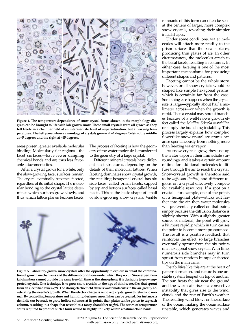

**Figure 4. The temperature dependence of snow-crystal forms shown in the morphology diagram can be brought to life with lab-grown snow. These small crystals were all grown as they fell freely in a chamber held at an intermediate level of supersaturation, but at varying temperatures. The left panel shows a montage of crystals grown at –2 degrees Celsius, the middle at –5 degrees and the right at –15 degrees.**

areas present greater available molecular binding. Molecularly flat regions—the facet surfaces—have fewer dangling chemical bonds and are thus less favorable attachment sites.

After a crystal grows for a while, only the slow-growing facet surfaces remain. The crystal eventually becomes faceted, regardless of its initial shape. The molecular bonding to the crystal lattice determines which surfaces grow slowly, and thus which lattice planes become facets. The process of faceting is how the geometry of the water molecule is transferred to the geometry of a large crystal.

Different mineral crystals have different facet structures, depending on the details of their molecular lattices. When faceting dominates snow crystal growth, the resulting hexagonal crystal has six side faces, called prism facets, capped by top and bottom surfaces, called basal facets. This is the basic shape of small or slow-growing snow crystals. Visible

![](_page_5_Picture_6.jpeg)

**Figure 5. Laboratory-grown snow crystals offer the opportunity to explore in detail the combination of growth mechanisms and the different conditions under which they occur. Since experimental chambers cannot provide the same free-fall time as the atmosphere, it is desirable to grow supported crystals. One technique is to grow snow crystals on the tips of thin ice needles that sprout from an electrified wire** *(left).* **The strong electric field attracts water molecules in the air, greatly accelerating the needle's growth. When the electric charge is removed, crystal growth returns to normal. By controlling temperature and humidity, designer snowflakes can be created. For instance, a dendrite can be made to grow hollow columns at its points, then plates can be grown to cap each column, resulting in a shape that resembles a fancy chandelier** *(right).* **The series of temperature shifts required to produce such a form would be highly unlikely within a natural cloud bank.** 

remnants of this form can often be seen at the centers of larger, more complex snow crystals, revealing their simpler initial shapes.

Under some conditions, water molecules will attach more readily to the prism surfaces than the basal surfaces, producing thin plates of ice. In other circumstances, the molecules attach to the basal facets, resulting in columns. In either case, faceting is one of the most important mechanisms for producing different shapes and patterns.

Faceting cannot be the whole story, however, or all snow crystals would be shaped like simple hexagonal prisms, which is certainly far from the case. Something else happens when the crystal size is large—typically about half a millimeter across—or when the growth is rapid. Then a crystal may sprout branches because of a well-known growth effect called the *Mullins-Sekerka instability*, or simply the branching instability. This process largely explains how complex, flowerlike snow-crystal structures can arise spontaneously from nothing more than freezing water vapor.

As snow crystals grow, they use up the water vapor in their immediate surroundings, and it takes a certain amount of time for additional molecules to diffuse through the air to reach the crystal. Snow-crystal growth is therefore said to be *diffusion limited*, and different regions on a crystal effectively compete for available resources. If a spot on a crystal—for example, one of the points on a hexagonal plate—sticks out farther into the air, then water molecules will preferentially collect on that point, simply because the diffusion distance is slightly shorter. With a slightly greater source of material, the point will grow a bit more rapidly, which in turn causes the point to become more pronounced. The result is a positive feedback that reinforces the effect, so large branches eventually sprout from the six points of a hexagonal snow crystal. With time, numerous side branches may in turn sprout from random bumps or faceted tips on the main arms.

Instabilities like this are at the heart of pattern formation, and nature is one unstable system heaped on top of another. The sun heats the air near the ground and the warm air rises—a convective instability that gives rise to the wind, clouds and the rest of Earth's weather. The resulting wind blows on the surface of the ocean, making the ocean surface unstable, which generates waves and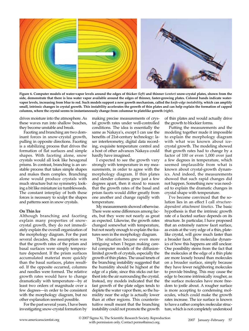![](_page_6_Picture_0.jpeg)

**Figure 6. Computer models of water-vapor levels around the edges of thicker** *(left)* **and thinner** *(center)* **snow-crystal plates, shown from the side, demonstrate that there is less water vapor available around the edges of thinner, faster-growing plates. Colored bands indicate watervapor levels, increasing from blue to red. Such models support a new growth mechanism, called the** *knife-edge instability,* **which can amplify small, intrinsic changes in crystal growth. This instability accelerates the growth of thin plates and can help explain the formation of capped columns, where the crystal seems to instantaneously change from columnar to platelike growth** *(right).*

drives moisture into the atmosphere. As these waves run into shallow beaches, they become unstable and break.

Faceting and branching are two dominant forces in snow-crystal growth, pulling in opposite directions. Faceting is a stabilizing process that drives the formation of flat surfaces and simple shapes. With faceting alone, snow crystals would all look like hexagonal prisms. In contrast, branching is an unstable process that takes simple shapes and makes them complex. Branching alone would produce crystals with much structure but no symmetry, looking a bit like miniature ice tumbleweeds. The constant interplay of both these forces is necessary to sculpt the shapes and patterns seen in snow crystals.

#### **On Thin Ice**

Although branching and faceting explain many properties of snowcrystal growth, they do not immediately explain the overall organization of the morphology diagram. For the past several decades, the assumption was that the growth rates of the prism and basal surfaces were simply temperature dependent. If the prism surfaces accumulated material more quickly than the basal surfaces, plates resulted. If the opposite occurred, columns and needles were formed. The relative growth rates would have to change dramatically with temperature—by at least two orders of magnitude over a few degrees—in order to be consistent with the morphology diagram, but no other explanation seemed possible.

For the past several years, I have been investigating snow-crystal formation by

making precise measurements of crystal growth rates under well-controlled conditions. The idea is essentially the same as Nakaya's, except I can use the benefits of 21st-century technology: laser interferometry, digital data recording, exquisite temperature control and a host of other advances Nakaya could hardly have imagined.

I expected to see the growth vary strongly with temperature in my measurements, in order to agree with the morphology diagram. If thin plates and slender columns grew just a few degrees apart, then it stood to reason that the growth rates of the basal and prism facets would differ greatly from one another and change rapidly with temperature.

My measurements showed otherwise. There were some differences among facets, but they were not nearly as great as expected. Likewise, the growth rates changed somewhat with temperature, but not nearly enough to explain the features seen in the morphology diagram.

The situation became even more intriguing when I began making careful computer models of the diffusionlimited growth of crystals, especially the growth of thin plates. The usual tenets of the branching instability suggested that the humidity should be highest at the edge of a plate, since this sticks out farthest into the air surrounding the crystal. Instead, my models indicated that the fast growth of the plate edges tends to deplete the water vapor there, so the humidity near the edge is actually lower than at other regions. This counterintuitive result meant that the branching instability could not promote the growth of thin plates and would actually drive the growth to blockier forms.

Putting the measurements and the modeling together made it impossible to explain the morphology diagram with what was known about icecrystal growth. The modeling showed that growth rates had to change by a factor of 100 or even 1,000 over just a few degrees in temperature, which seemed implausible from what is known about crystal-growth dynamics. And indeed, the measurements showed that such rapid changes did not happen. Something new was needed to explain the dramatic changes in crystal shape with temperature.

I've become convinced that the solution lies in an effect I call *structuredependent attachment kinetics*. The basic hypothesis is that the intrinsic growth rate of a faceted surface depends on its structure. In particular, I have proposed that an extremely narrow facet surface, as exists at the very edge of a thin, platelike crystal, will grow much faster than a broader facet. The molecular dynamics of how this happens are still unclear. One possibility stems from the fact that the molecules at the edge of a thin plate are more loosely bound than molecules on a broader surface, simply because they have fewer neighboring molecules to provide binding. This may cause the edge to become intrinsically rougher, as the surface molecules have more freedom to jostle about. A rougher surface is more accepting to condensing molecules, which could make the growth rates increase. The ice surface is known to have a rather complex molecular structure, which is not completely understood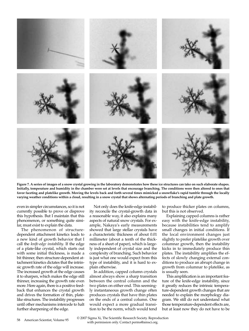![](_page_7_Picture_0.jpeg)

**Figure 7. A series of images of a snow crystal growing in the laboratory demonstrates how these ice structures can take on such elaborate shapes. Initially, temperature and humidity in the chamber were set at levels that encourage branching. The conditions were then altered to ones that favor faceting and platelike growth. Moving the levels back and forth several times mimicked a snowflake's rapid tumble through the locally varying weather conditions within a cloud, resulting in a snow crystal that shows alternating periods of branching and plate growth.**

even in simpler circumstances, so it is not currently possible to prove or disprove this hypothesis. But I maintain that this phenomenon, or something quite similar, must exist to explain the data.

The phenomenon of structuredependent attachment kinetics leads to a new kind of growth behavior that I call the *knife-edge instability*. If the edge of a plate-like crystal, which starts out with some initial thickness, is made a bit thinner, then structure-dependent attachment kinetics dictates that the intrinsic growth rate of the edge will increase. The increased growth at the edge causes it to sharpen, which makes the edge still thinner, increasing the growth rate even more. Here again, there is a positive feedback that enhances the crystal growth and drives the formation of thin, platelike structures. The instability progresses until other mechanisms intercede to halt further sharpening of the edge.

Not only does the knife-edge instability reconcile the crystal-growth data in a reasonable way, it also explains many aspects of natural snow crystals. For example, Nakaya's early measurements showed that large stellar crystals have a characteristic thickness of about 0.01 millimeter (about a tenth of the thickness of a sheet of paper), which is largely independent of crystal size and the complexity of branching. Such behavior is just what one would expect from this type of instability, and it is hard to explain otherwise.

In addition, capped column crystals almost always show a sharp transition between the central column and the two plates on either end. This seemingly instantaneous growth change often produces crystals that have thin plates on the ends of a central column. One would expect a more gradual transition to be the norm, which would tend

to produce thicker plates on columns, but this is not observed.

Explaining capped columns is rather easy with the knife-edge instability, because instabilities tend to amplify small changes in initial conditions. If the local environment changes just slightly to prefer platelike growth over columnar growth, then the instability kicks in to immediately produce thin plates. The instability amplifies the effects of slowly changing external conditions to produce an abrupt change in growth from columnar to platelike, as is usually seen.

This amplification is an important feature of the knife-edge instability, since it greatly reduces the intrinsic temperature-dependent growth changes that are needed to explain the morphology diagram. We still do not understand what those temperature-dependent effects are, but at least now they do not have to be

58 American Scientist, Volume 95 © 2007 Sigma Xi, The Scientific Research Society. Reproduction with permission only. Contact perms@amsci.org.